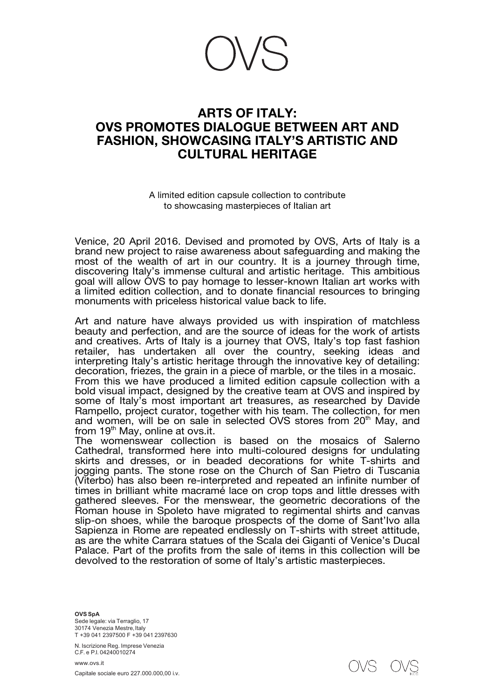## **ARTS OF ITALY: OVS PROMOTES DIALOGUE BETWEEN ART AND FASHION, SHOWCASING ITALY'S ARTISTIC AND CULTURAL HERITAGE**

A limited edition capsule collection to contribute to showcasing masterpieces of Italian art

Venice, 20 April 2016. Devised and promoted by OVS, Arts of Italy is a brand new project to raise awareness about safeguarding and making the most of the wealth of art in our country. It is a journey through time, discovering Italy's immense cultural and artistic heritage. This ambitious goal will allow OVS to pay homage to lesser-known Italian art works with a limited edition collection, and to donate financial resources to bringing monuments with priceless historical value back to life.

Art and nature have always provided us with inspiration of matchless beauty and perfection, and are the source of ideas for the work of artists and creatives. Arts of Italy is a journey that OVS, Italy's top fast fashion retailer, has undertaken all over the country, seeking ideas and interpreting Italy's artistic heritage through the innovative key of detailing: decoration, friezes, the grain in a piece of marble, or the tiles in a mosaic. From this we have produced a limited edition capsule collection with a bold visual impact, designed by the creative team at OVS and inspired by

some of Italy's most important art treasures, as researched by Davide Rampello, project curator, together with his team. The collection, for men and women, will be on sale in selected OVS stores from 20<sup>th</sup> May, and from  $19<sup>th</sup>$  May, online at ovs.it.

The womenswear collection is based on the mosaics of Salerno Cathedral, transformed here into multi-coloured designs for undulating skirts and dresses, or in beaded decorations for white T-shirts and jogging pants. The stone rose on the Church of San Pietro di Tuscania (Viterbo) has also been re-interpreted and repeated an infinite number of times in brilliant white macramé lace on crop tops and little dresses with gathered sleeves. For the menswear, the geometric decorations of the Roman house in Spoleto have migrated to regimental shirts and canvas slip-on shoes, while the baroque prospects of the dome of Sant'Ivo alla Sapienza in Rome are repeated endlessly on T-shirts with street attitude, as are the white Carrara statues of the Scala dei Giganti of Venice's Ducal Palace. Part of the profits from the sale of items in this collection will be devolved to the restoration of some of Italy's artistic masterpieces.

**OVS SpA**

Sede legale: via Terraglio, 17 30174 Venezia Mestre, Italy T +39 041 2397500 F +39 041 2397630

N. Iscrizione Reg. Imprese Venezia C.F. e P.I. 04240010274

www.ovs.it Capitale sociale euro 227.000.000,00 i.v.

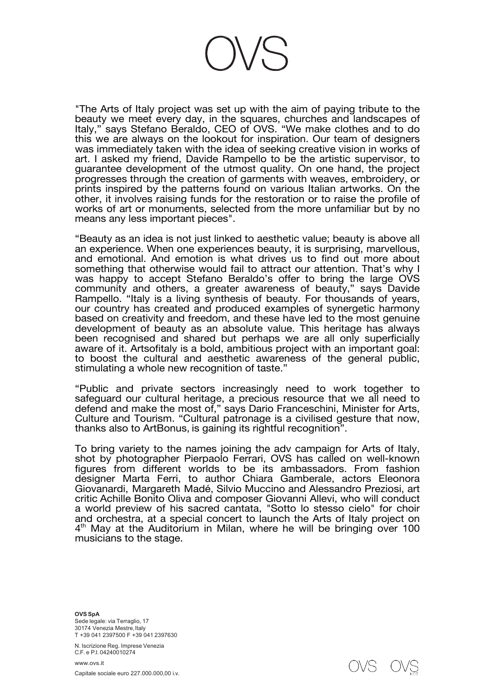

"The Arts of Italy project was set up with the aim of paying tribute to the beauty we meet every day, in the squares, churches and landscapes of Italy," says Stefano Beraldo, CEO of OVS. "We make clothes and to do this we are always on the lookout for inspiration. Our team of designers was immediately taken with the idea of seeking creative vision in works of art. I asked my friend, Davide Rampello to be the artistic supervisor, to guarantee development of the utmost quality. On one hand, the project progresses through the creation of garments with weaves, embroidery, or prints inspired by the patterns found on various Italian artworks. On the other, it involves raising funds for the restoration or to raise the profile of works of art or monuments, selected from the more unfamiliar but by no means any less important pieces".

"Beauty as an idea is not just linked to aesthetic value; beauty is above all an experience. When one experiences beauty, it is surprising, marvellous, and emotional. And emotion is what drives us to find out more about something that otherwise would fail to attract our attention. That's why I was happy to accept Stefano Beraldo's offer to bring the large OVS community and others, a greater awareness of beauty," says Davide Rampello. "Italy is a living synthesis of beauty. For thousands of years, our country has created and produced examples of synergetic harmony based on creativity and freedom, and these have led to the most genuine development of beauty as an absolute value. This heritage has always been recognised and shared but perhaps we are all only superficially aware of it. Artsofitaly is a bold, ambitious project with an important goal: to boost the cultural and aesthetic awareness of the general public, stimulating a whole new recognition of taste."

"Public and private sectors increasingly need to work together to safeguard our cultural heritage, a precious resource that we all need to defend and make the most of," says Dario Franceschini, Minister for Arts, Culture and Tourism. "Cultural patronage is a civilised gesture that now, thanks also to ArtBonus, is gaining its rightful recognition".

To bring variety to the names joining the adv campaign for Arts of Italy, shot by photographer Pierpaolo Ferrari, OVS has called on well-known figures from different worlds to be its ambassadors. From fashion designer Marta Ferri, to author Chiara Gamberale, actors Eleonora Giovanardi, Margareth Madé, Silvio Muccino and Alessandro Preziosi, art critic Achille Bonito Oliva and composer Giovanni Allevi, who will conduct a world preview of his sacred cantata, "Sotto lo stesso cielo" for choir and orchestra, at a special concert to launch the Arts of Italy project on  $4<sup>th</sup>$  May at the Auditorium in Milan, where he will be bringing over 100 musicians to the stage.

**OVS SpA** Sede legale: via Terraglio, 17 30174 Venezia Mestre, Italy T +39 041 2397500 F +39 041 2397630

N. Iscrizione Reg. Imprese Venezia C.F. e P.I. 04240010274

www.ovs.it Capitale sociale euro 227.000.000,00 i.v.